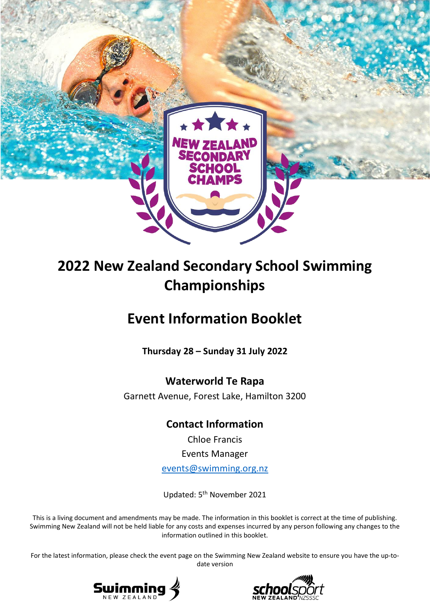

# **2022 New Zealand Secondary School Swimming Championships**

# **Event Information Booklet**

**Thursday 28 – Sunday 31 July 2022**

# **Waterworld Te Rapa**

Garnett Avenue, Forest Lake, Hamilton 3200

# **Contact Information**

Chloe Francis Events Manager [events@swimming.org.nz](mailto:events@swimming.org.nz)

Updated: 5<sup>th</sup> November 2021

This is a living document and amendments may be made. The information in this booklet is correct at the time of publishing. Swimming New Zealand will not be held liable for any costs and expenses incurred by any person following any changes to the information outlined in this booklet.

For the latest information, please check the event page on the Swimming New Zealand website to ensure you have the up-todate version



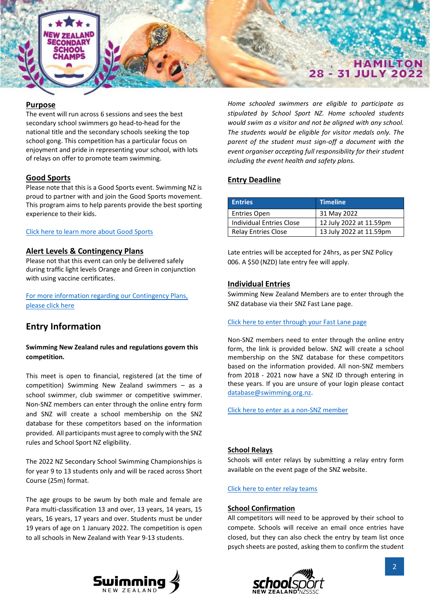

#### **Purpose**

The event will run across 6 sessions and sees the best secondary school swimmers go head-to-head for the national title and the secondary schools seeking the top school gong. This competition has a particular focus on enjoyment and pride in representing your school, with lots of relays on offer to promote team swimming.

#### **Good Sports**

Please note that this is a Good Sports event. Swimming NZ is proud to partner with and join the Good Sports movement. This program aims to help parents provide the best sporting experience to their kids.

#### [Click here to learn more about Good Sports](https://aktive.org.nz/what-we-do/good-sports/)

#### **Alert Levels & Contingency Plans**

Please not that this event can only be delivered safely during traffic light levels Orange and Green in conjunction with using vaccine certificates.

[For more information regarding our Contingency Plans,](https://swimming.org.nz/page.php?id=3698)  [please click here](https://swimming.org.nz/page.php?id=3698)

### **Entry Information**

#### **Swimming New Zealand rules and regulations govern this competition.**

This meet is open to financial, registered (at the time of competition) Swimming New Zealand swimmers – as a school swimmer, club swimmer or competitive swimmer. Non-SNZ members can enter through the online entry form and SNZ will create a school membership on the SNZ database for these competitors based on the information provided. All participants must agree to comply with the SNZ rules and School Sport NZ eligibility.

The 2022 NZ Secondary School Swimming Championships is for year 9 to 13 students only and will be raced across Short Course (25m) format.

The age groups to be swum by both male and female are Para multi-classification 13 and over, 13 years, 14 years, 15 years, 16 years, 17 years and over. Students must be under 19 years of age on 1 January 2022. The competition is open to all schools in New Zealand with Year 9-13 students.

*Home schooled swimmers are eligible to participate as stipulated by School Sport NZ. Home schooled students would swim as a visitor and not be aligned with any school. The students would be eligible for visitor medals only. The parent of the student must sign-off a document with the event organiser accepting full responsibility for their student including the event health and safety plans.* 

#### **Entry Deadline**

| <b>Entries</b>             | <b>Timeline</b>         |
|----------------------------|-------------------------|
| <b>Entries Open</b>        | 31 May 2022             |
| Individual Entries Close   | 12 July 2022 at 11.59pm |
| <b>Relay Entries Close</b> | 13 July 2022 at 11.59pm |

Late entries will be accepted for 24hrs, as per SNZ Policy 006. A \$50 (NZD) late entry fee will apply.

#### **Individual Entries**

Swimming New Zealand Members are to enter through the SNZ database via their SNZ Fast Lane page.

#### [Click here to enter through your Fast Lane page](https://fastlane.swimming.org.nz/login)

Non-SNZ members need to enter through the online entry form, the link is provided below. SNZ will create a school membership on the SNZ database for these competitors based on the information provided. All non-SNZ members from 2018 - 2021 now have a SNZ ID through entering in these years. If you are unsure of your login please contact [database@swimming.org.nz.](mailto:database@swimming.org.nz)

Click here to [enter as a non-SNZ member](https://form.jotform.com/SwimmingNZ/2022-nzsssc-nonmember-entry)

#### **School Relays**

Schools will enter relays by submitting a relay entry form available on the event page of the SNZ website.

[Click here to enter relay teams](https://form.jotform.com/SwimmingNZ/2022-nzsssc-relay-form)

#### **School Confirmation**

All competitors will need to be approved by their school to compete. Schools will receive an email once entries have closed, but they can also check the entry by team list once psych sheets are posted, asking them to confirm the student



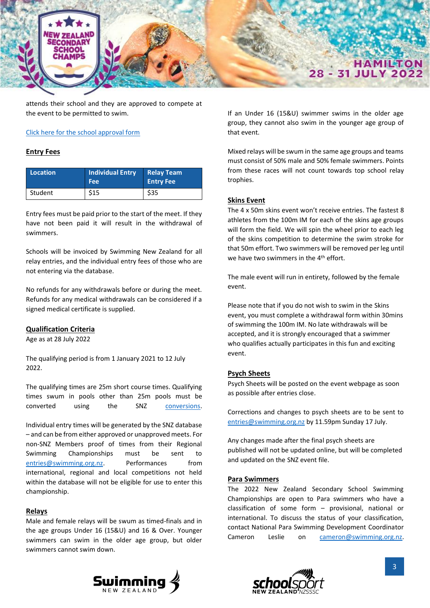

attends their school and they are approved to compete at the event to be permitted to swim.

#### [Click here for the school approval form](https://form.jotform.com/SwimmingNZ/2022-nzsssc-school-approval)

#### **Entry Fees**

| Location | <b>Individual Entry</b><br><b>Fee</b> | <b>Relay Team</b><br><b>Entry Fee</b> |
|----------|---------------------------------------|---------------------------------------|
| Student  | \$15                                  | \$35                                  |

Entry fees must be paid prior to the start of the meet. If they have not been paid it will result in the withdrawal of swimmers.

Schools will be invoiced by Swimming New Zealand for all relay entries, and the individual entry fees of those who are not entering via the database.

No refunds for any withdrawals before or during the meet. Refunds for any medical withdrawals can be considered if a signed medical certificate is supplied.

#### **Qualification Criteria**

Age as at 28 July 2022

The qualifying period is from 1 January 2021 to 12 July 2022.

The qualifying times are 25m short course times. Qualifying times swum in pools other than 25m pools must be converted using the SNZ [conversions.](http://talbotco.co.nz/Pool_Conversion.aspx)

Individual entry times will be generated by the SNZ database – and can be from either approved or unapproved meets. For non-SNZ Members proof of times from their Regional Swimming Championships must be sent to [entries@swimming.org.nz.](mailto:entries@swimming.org.nz) Performances from international, regional and local competitions not held within the database will not be eligible for use to enter this championship.

#### **Relays**

Male and female relays will be swum as timed-finals and in the age groups Under 16 (15&U) and 16 & Over. Younger swimmers can swim in the older age group, but older swimmers cannot swim down.

If an Under 16 (15&U) swimmer swims in the older age group, they cannot also swim in the younger age group of that event.

Mixed relays will be swum in the same age groups and teams must consist of 50% male and 50% female swimmers. Points from these races will not count towards top school relay trophies.

#### **Skins Event**

The 4 x 50m skins event won't receive entries. The fastest 8 athletes from the 100m IM for each of the skins age groups will form the field. We will spin the wheel prior to each leg of the skins competition to determine the swim stroke for that 50m effort. Two swimmers will be removed per leg until we have two swimmers in the 4<sup>th</sup> effort.

The male event will run in entirety, followed by the female event.

Please note that if you do not wish to swim in the Skins event, you must complete a withdrawal form within 30mins of swimming the 100m IM. No late withdrawals will be accepted, and it is strongly encouraged that a swimmer who qualifies actually participates in this fun and exciting event.

#### **Psych Sheets**

Psych Sheets will be posted on the event webpage as soon as possible after entries close.

Corrections and changes to psych sheets are to be sent to [entries@swimming.org.nz](mailto:entries@swimming.org.nz) by 11.59pm Sunday 17 July.

Any changes made after the final psych sheets are published will not be updated online, but will be completed and updated on the SNZ event file.

#### **Para Swimmers**

The 2022 New Zealand Secondary School Swimming Championships are open to Para swimmers who have a classification of some form – provisional, national or international. To discuss the status of your classification, contact National Para Swimming Development Coordinator Cameron Leslie on [cameron@swimming.org.nz.](mailto:cameron@swimming.org.nz)



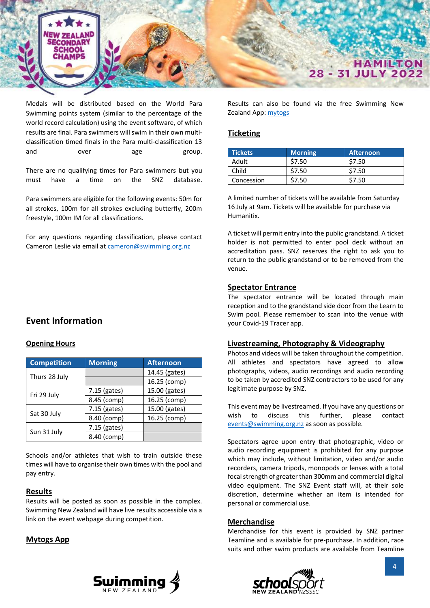

Medals will be distributed based on the World Para Swimming points system (similar to the percentage of the world record calculation) using the event software, of which results are final. Para swimmers will swim in their own multiclassification timed finals in the Para multi-classification 13 and over age group.

There are no qualifying times for Para swimmers but you must have a time on the SNZ database.

Para swimmers are eligible for the following events: 50m for all strokes, 100m for all strokes excluding butterfly, 200m freestyle, 100m IM for all classifications.

For any questions regarding classification, please contact Cameron Leslie via email at [cameron@swimming.org.nz](mailto:cameron@swimming.org.nz)

### **Event Information**

#### **Opening Hours**

| <b>Competition</b> | <b>Morning</b> | <b>Afternoon</b> |
|--------------------|----------------|------------------|
|                    |                | 14.45 (gates)    |
| Thurs 28 July      |                | 16.25 (comp)     |
|                    | 7.15 (gates)   | 15.00 (gates)    |
| Fri 29 July        | 8.45 (comp)    | 16.25 (comp)     |
|                    | 7.15 (gates)   | 15.00 (gates)    |
| Sat 30 July        | 8.40 (comp)    | 16.25 (comp)     |
| Sun 31 July        | 7.15 (gates)   |                  |
|                    | 8.40 (comp)    |                  |

Schools and/or athletes that wish to train outside these times will have to organise their own times with the pool and pay entry.

#### **Results**

Results will be posted as soon as possible in the complex. Swimming New Zealand will have live results accessible via a link on the event webpage during competition.

#### **Mytogs App**

Results can also be found via the free Swimming New Zealand App: [mytogs](https://mytogs.co.nz/download)

#### **Ticketing**

| <b>Tickets</b> | Morning | <b>Afternoon</b> |
|----------------|---------|------------------|
| Adult          | \$7.50  | \$7.50           |
| Child          | \$7.50  | \$7.50           |
| Concession     |         | \$7.50           |

A limited number of tickets will be available from Saturday 16 July at 9am. Tickets will be available for purchase via Humanitix.

A ticket will permit entry into the public grandstand. A ticket holder is not permitted to enter pool deck without an accreditation pass. SNZ reserves the right to ask you to return to the public grandstand or to be removed from the venue.

#### **Spectator Entrance**

The spectator entrance will be located through main reception and to the grandstand side door from the Learn to Swim pool. Please remember to scan into the venue with your Covid-19 Tracer app.

#### **Livestreaming, Photography & Videography**

Photos and videos will be taken throughout the competition. All athletes and spectators have agreed to allow photographs, videos, audio recordings and audio recording to be taken by accredited SNZ contractors to be used for any legitimate purpose by SNZ.

This event may be livestreamed. If you have any questions or wish to discuss this further, please contact [events@swimming.org.nz](mailto:events@swimming.org.nz) as soon as possible.

Spectators agree upon entry that photographic, video or audio recording equipment is prohibited for any purpose which may include, without limitation, video and/or audio recorders, camera tripods, monopods or lenses with a total focal strength of greater than 300mm and commercial digital video equipment. The SNZ Event staff will, at their sole discretion, determine whether an item is intended for personal or commercial use.

#### **Merchandise**

Merchandise for this event is provided by SNZ partner Teamline and is available for pre-purchase. In addition, race suits and other swim products are available from Teamline



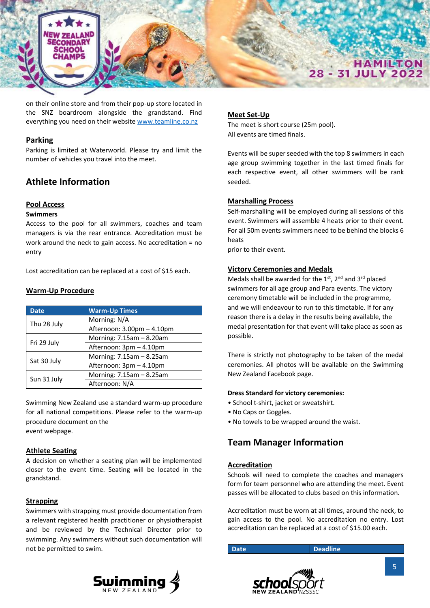

on their online store and from their pop-up store located in the SNZ boardroom alongside the grandstand. Find everything you need on their website [www.teamline.co.nz](file://///mil-nas/d/Documents/abowler/Short%20Course/2019/www.teamline.co.nz)

#### **Parking**

Parking is limited at Waterworld. Please try and limit the number of vehicles you travel into the meet.

# **Athlete Information**

#### **Pool Access**

#### **Swimmers**

Access to the pool for all swimmers, coaches and team managers is via the rear entrance. Accreditation must be work around the neck to gain access. No accreditation = no entry

Lost accreditation can be replaced at a cost of \$15 each.

#### **Warm-Up Procedure**

| <b>Date</b> | <b>Warm-Up Times</b>       |
|-------------|----------------------------|
|             | Morning: N/A               |
| Thu 28 July | Afternoon: 3.00pm - 4.10pm |
|             | Morning: 7.15am - 8.20am   |
| Fri 29 July | Afternoon: 3pm - 4.10pm    |
|             | Morning: 7.15am - 8.25am   |
| Sat 30 July | Afternoon: 3pm - 4.10pm    |
|             | Morning: 7.15am - 8.25am   |
| Sun 31 July | Afternoon: N/A             |

Swimming New Zealand use a standard warm-up procedure for all national competitions. Please refer to the warm-up procedure document on the event webpage.

#### **Athlete Seating**

A decision on whether a seating plan will be implemented closer to the event time. Seating will be located in the grandstand.

#### **Strapping**

Swimmers with strapping must provide documentation from a relevant registered health practitioner or physiotherapist and be reviewed by the Technical Director prior to swimming. Any swimmers without such documentation will not be permitted to swim.



#### **Meet Set-Up**

The meet is short course (25m pool). All events are timed finals.

Events will be super seeded with the top 8 swimmers in each age group swimming together in the last timed finals for each respective event, all other swimmers will be rank seeded.

#### **Marshalling Process**

Self-marshalling will be employed during all sessions of this event. Swimmers will assemble 4 heats prior to their event. For all 50m events swimmers need to be behind the blocks 6 heats

prior to their event.

#### **Victory Ceremonies and Medals**

Medals shall be awarded for the 1st, 2nd and 3rd placed swimmers for all age group and Para events. The victory ceremony timetable will be included in the programme, and we will endeavour to run to this timetable. If for any reason there is a delay in the results being available, the medal presentation for that event will take place as soon as possible.

There is strictly not photography to be taken of the medal ceremonies. All photos will be available on the Swimming New Zealand Facebook page.

#### **Dress Standard for victory ceremonies:**

- School t-shirt, jacket or sweatshirt.
- No Caps or Goggles.
- No towels to be wrapped around the waist.

# **Team Manager Information**

#### **Accreditation**

Schools will need to complete the coaches and managers form for team personnel who are attending the meet. Event passes will be allocated to clubs based on this information.

Accreditation must be worn at all times, around the neck, to gain access to the pool. No accreditation no entry. Lost accreditation can be replaced at a cost of \$15.00 each.

**Date Deadline** 

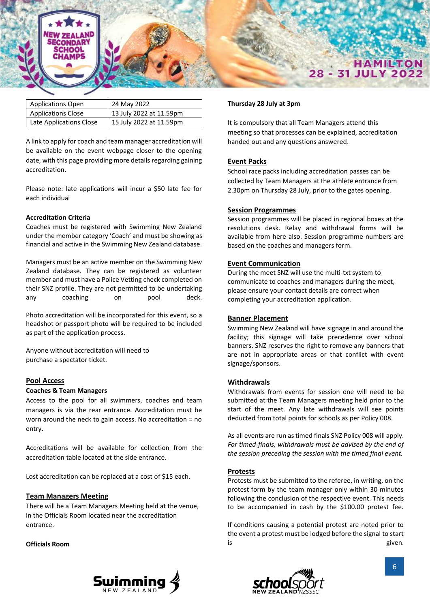

| <b>Applications Open</b>  | 24 May 2022             |
|---------------------------|-------------------------|
| <b>Applications Close</b> | 13 July 2022 at 11.59pm |
| Late Applications Close   | 15 July 2022 at 11.59pm |

A link to apply for coach and team manager accreditation will be available on the event webpage closer to the opening date, with this page providing more details regarding gaining accreditation.

Please note: late applications will incur a \$50 late fee for each individual

#### **Accreditation Criteria**

Coaches must be registered with Swimming New Zealand under the member category 'Coach' and must be showing as financial and active in the Swimming New Zealand database.

Managers must be an active member on the Swimming New Zealand database. They can be registered as volunteer member and must have a Police Vetting check completed on their SNZ profile. They are not permitted to be undertaking any coaching on pool deck.

Photo accreditation will be incorporated for this event, so a headshot or passport photo will be required to be included as part of the application process.

Anyone without accreditation will need to purchase a spectator ticket.

#### **Pool Access**

#### **Coaches & Team Managers**

Access to the pool for all swimmers, coaches and team managers is via the rear entrance. Accreditation must be worn around the neck to gain access. No accreditation = no entry.

Accreditations will be available for collection from the accreditation table located at the side entrance.

Lost accreditation can be replaced at a cost of \$15 each.

#### **Team Managers Meeting**

There will be a Team Managers Meeting held at the venue, in the Officials Room located near the accreditation entrance.

#### **Officials Room**

#### **Thursday 28 July at 3pm**

It is compulsory that all Team Managers attend this meeting so that processes can be explained, accreditation handed out and any questions answered.

#### **Event Packs**

School race packs including accreditation passes can be collected by Team Managers at the athlete entrance from 2.30pm on Thursday 28 July, prior to the gates opening.

#### **Session Programmes**

Session programmes will be placed in regional boxes at the resolutions desk. Relay and withdrawal forms will be available from here also. Session programme numbers are based on the coaches and managers form.

#### **Event Communication**

During the meet SNZ will use the multi-txt system to communicate to coaches and managers during the meet, please ensure your contact details are correct when completing your accreditation application.

#### **Banner Placement**

Swimming New Zealand will have signage in and around the facility; this signage will take precedence over school banners. SNZ reserves the right to remove any banners that are not in appropriate areas or that conflict with event signage/sponsors.

#### **Withdrawals**

Withdrawals from events for session one will need to be submitted at the Team Managers meeting held prior to the start of the meet. Any late withdrawals will see points deducted from total points for schools as per Policy 008.

As all events are run as timed finals SNZ Policy 008 will apply. *For timed-finals, withdrawals must be advised by the end of the session preceding the session with the timed final event.*

#### **Protests**

Protests must be submitted to the referee, in writing, on the protest form by the team manager only within 30 minutes following the conclusion of the respective event. This needs to be accompanied in cash by the \$100.00 protest fee.

If conditions causing a potential protest are noted prior to the event a protest must be lodged before the signal to start is given.



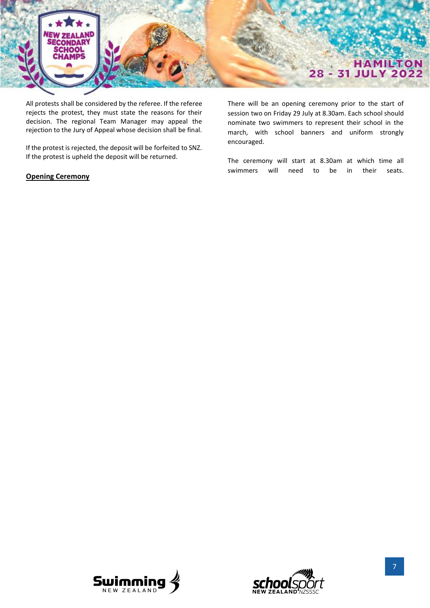

All protests shall be considered by the referee. If the referee rejects the protest, they must state the reasons for their decision. The regional Team Manager may appeal the rejection to the Jury of Appeal whose decision shall be final.

If the protest is rejected, the deposit will be forfeited to SNZ. If the protest is upheld the deposit will be returned.

#### **Opening Ceremony**

There will be an opening ceremony prior to the start of session two on Friday 29 July at 8.30am. Each school should nominate two swimmers to represent their school in the march, with school banners and uniform strongly encouraged.

The ceremony will start at 8.30am at which time all swimmers will need to be in their seats.